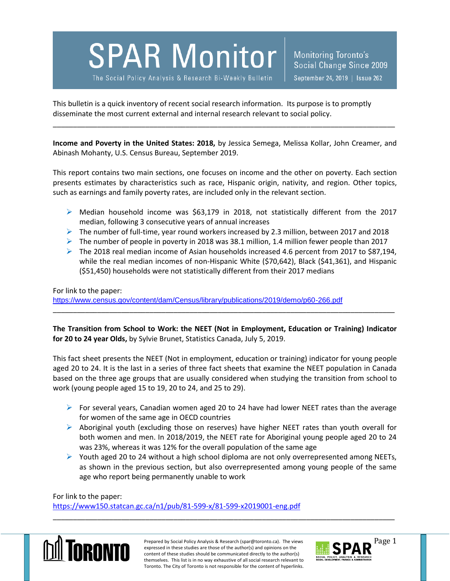**SPAR Monitor** 

The Social Policy Analysis & Research Bi-Weekly Bulletin

Monitoring Toronto's Social Change Since 2009 September 24, 2019 | Issue 262

This bulletin is a quick inventory of recent social research information. Its purpose is to promptly disseminate the most current external and internal research relevant to social policy.

**Income and Poverty in the United States: 2018,** by Jessica Semega, Melissa Kollar, John Creamer, and Abinash Mohanty, U.S. Census Bureau, September 2019.

\_\_\_\_\_\_\_\_\_\_\_\_\_\_\_\_\_\_\_\_\_\_\_\_\_\_\_\_\_\_\_\_\_\_\_\_\_\_\_\_\_\_\_\_\_\_\_\_\_\_\_\_\_\_\_\_\_\_\_\_\_\_\_\_\_\_\_\_\_\_\_\_\_\_\_\_\_\_\_\_\_\_\_\_\_

This report contains two main sections, one focuses on income and the other on poverty. Each section presents estimates by characteristics such as race, Hispanic origin, nativity, and region. Other topics, such as earnings and family poverty rates, are included only in the relevant section.

- Median household income was \$63,179 in 2018, not statistically different from the 2017 median, following 3 consecutive years of annual increases
- $\triangleright$  The number of full-time, year round workers increased by 2.3 million, between 2017 and 2018
- The number of people in poverty in 2018 was 38.1 million, 1.4 million fewer people than 2017
- The 2018 real median income of Asian households increased 4.6 percent from 2017 to \$87,194, while the real median incomes of non-Hispanic White (\$70,642), Black (\$41,361), and Hispanic (\$51,450) households were not statistically different from their 2017 medians

## For link to the paper: <https://www.census.gov/content/dam/Census/library/publications/2019/demo/p60-266.pdf>

**The Transition from School to Work: the NEET (Not in Employment, Education or Training) Indicator for 20 to 24 year Olds,** by Sylvie Brunet, Statistics Canada, July 5, 2019.

\_\_\_\_\_\_\_\_\_\_\_\_\_\_\_\_\_\_\_\_\_\_\_\_\_\_\_\_\_\_\_\_\_\_\_\_\_\_\_\_\_\_\_\_\_\_\_\_\_\_\_\_\_\_\_\_\_\_\_\_\_\_\_\_\_\_\_\_\_\_\_\_\_\_\_\_\_\_\_\_\_\_\_\_\_

This fact sheet presents the NEET (Not in employment, education or training) indicator for young people aged 20 to 24. It is the last in a series of three fact sheets that examine the NEET population in Canada based on the three age groups that are usually considered when studying the transition from school to work (young people aged 15 to 19, 20 to 24, and 25 to 29).

- For several years, Canadian women aged 20 to 24 have had lower NEET rates than the average for women of the same age in OECD countries
- $\triangleright$  Aboriginal youth (excluding those on reserves) have higher NEET rates than youth overall for both women and men. In 2018/2019, the NEET rate for Aboriginal young people aged 20 to 24 was 23%, whereas it was 12% for the overall population of the same age
- $\triangleright$  Youth aged 20 to 24 without a high school diploma are not only overrepresented among NEETs, as shown in the previous section, but also overrepresented among young people of the same age who report being permanently unable to work

For link to the paper: <https://www150.statcan.gc.ca/n1/pub/81-599-x/81-599-x2019001-eng.pdf>



Prepared by Social Policy Analysis & Research (spar@toronto.ca). The views Page 1 expressed in these studies are those of the author(s) and opinions on the content of these studies should be communicated directly to the author(s) themselves. This list is in no way exhaustive of all social research relevant to Toronto. The City of Toronto is not responsible for the content of hyperlinks.

\_\_\_\_\_\_\_\_\_\_\_\_\_\_\_\_\_\_\_\_\_\_\_\_\_\_\_\_\_\_\_\_\_\_\_\_\_\_\_\_\_\_\_\_\_\_\_\_\_\_\_\_\_\_\_\_\_\_\_\_\_\_\_\_\_\_\_\_\_\_\_\_\_\_\_\_\_\_\_\_\_\_\_\_\_